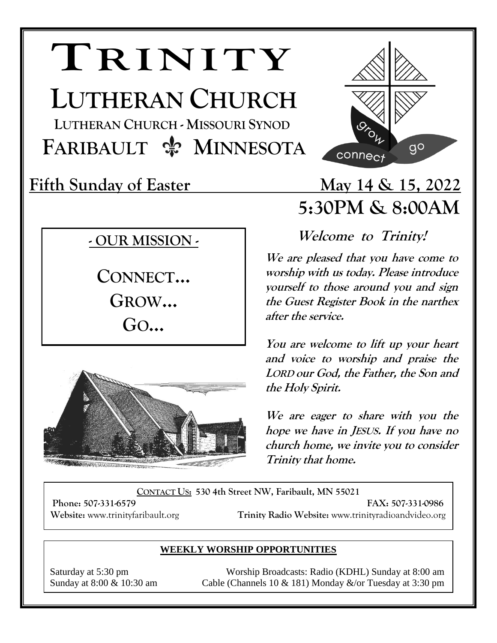# **TRINITY**

**LUTHERAN CHURCH**

 **LUTHERAN CHURCH - MISSOURI SYNOD FARIBAULT**  $\frac{A}{2}$  **MINNESOTA** 

### **- OUR MISSION -**

**CONNECT… GROW… GO…**



## **Fifth Sunday of Easter May 14 & 15, 2022 5:30PM & 8:00AM**

 $9<sup>o</sup>$ 

**Welcome to Trinity!** 

connect

**We are pleased that you have come to worship with us today. Please introduce yourself to those around you and sign the Guest Register Book in the narthex after the service.** 

**You are welcome to lift up your heart and voice to worship and praise the LORD our God, the Father, the Son and the Holy Spirit.**

**We are eager to share with you the hope we have in JESUS. If you have no church home, we invite you to consider Trinity that home.** 

**CONTACT US: 530 4th Street NW, Faribault, MN 55021**

**Phone: 507-331-6579 FAX: 507-331-0986 Website:** www.trinityfaribault.org **Trinity Radio Website:** www.trinityradioandvideo.org

#### **WEEKLY WORSHIP OPPORTUNITIES**

Saturday at 5:30 pm Worship Broadcasts: Radio (KDHL) Sunday at 8:00 am Sunday at  $8:00 \& 10:30$  am Cable (Channels 10  $& 181$ ) Monday  $&\sqrt{or}$  Tuesday at 3:30 pm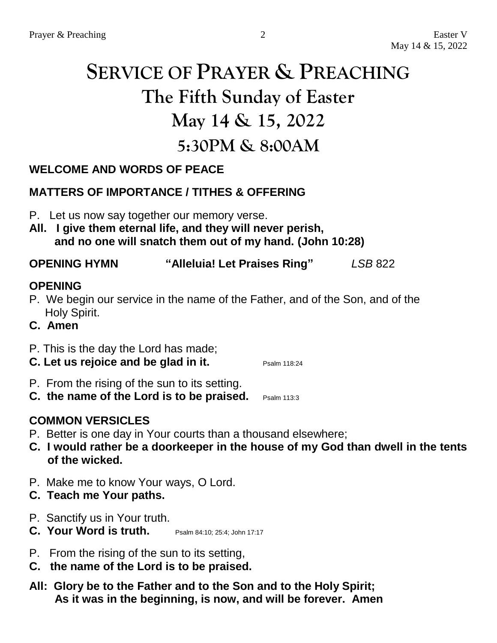# **SERVICE OF PRAYER & PREACHING The Fifth Sunday of Easter May 14 & 15, 2022 5:30PM & 8:00AM**

#### **WELCOME AND WORDS OF PEACE**

#### **MATTERS OF IMPORTANCE / TITHES & OFFERING**

- P. Let us now say together our memory verse.
- **All. I give them eternal life, and they will never perish, and no one will snatch them out of my hand. (John 10:28)**

#### **OPENING HYMN "Alleluia! Let Praises Ring"** *LSB* 822

#### **OPENING**

- P. We begin our service in the name of the Father, and of the Son, and of the Holy Spirit.
- **C. Amen**

#### P. This is the day the Lord has made;

- **C.** Let us rejoice and be glad in it. Psalm 118:24
- P. From the rising of the sun to its setting.
- **C. the name of the Lord is to be praised.** Psalm 113:3

#### **COMMON VERSICLES**

- P. Better is one day in Your courts than a thousand elsewhere;
- **C. I would rather be a doorkeeper in the house of my God than dwell in the tents of the wicked.**
- P. Make me to know Your ways, O Lord.
- **C. Teach me Your paths.**
- P. Sanctify us in Your truth.
- **C. Your Word is truth.** Psalm 84:10: 25:4: John 17:17
- P. From the rising of the sun to its setting,
- **C. the name of the Lord is to be praised.**
- **All: Glory be to the Father and to the Son and to the Holy Spirit; As it was in the beginning, is now, and will be forever. Amen**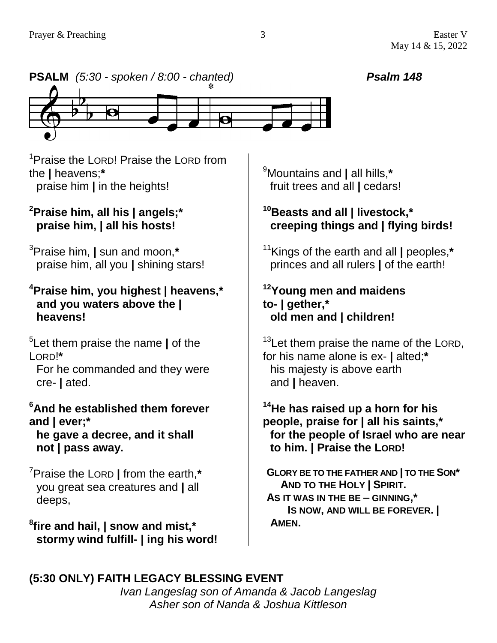

<sup>1</sup>Praise the LORD! Praise the LORD from the **|** heavens;**\*** praise him **|** in the heights!

#### **<sup>2</sup>Praise him, all his | angels;\* praise him, | all his hosts!**

<sup>3</sup>Praise him, **|** sun and moon,**\*** praise him, all you **|** shining stars!

#### **<sup>4</sup>Praise him, you highest | heavens,\* and you waters above the | heavens!**

5 Let them praise the name **|** of the LORD!**\***

For he commanded and they were cre- **|** ated.

#### **<sup>6</sup>And he established them forever and | ever;\***

**he gave a decree, and it shall not | pass away.**

<sup>7</sup>Praise the LORD **|** from the earth,**\*** you great sea creatures and **|** all deeps,

**8 fire and hail, | snow and mist,\* stormy wind fulfill- | ing his word!** <sup>9</sup>Mountains and **|** all hills,**\*** fruit trees and all **|** cedars!

#### **<sup>10</sup>Beasts and all | livestock,\* creeping things and | flying birds!**

<sup>11</sup>Kings of the earth and all **|** peoples,**\*** princes and all rulers **|** of the earth!

#### **<sup>12</sup>Young men and maidens to- | gether,\* old men and | children!**

<sup>13</sup>Let them praise the name of the LORD, for his name alone is ex- **|** alted;**\*** his majesty is above earth and **|** heaven.

#### **<sup>14</sup>He has raised up a horn for his people, praise for | all his saints,\* for the people of Israel who are near to him. | Praise the LORD!**

**GLORY BE TO THE FATHER AND | TO THE SON\* AND TO THE HOLY | SPIRIT. AS IT WAS IN THE BE – GINNING,\* IS NOW, AND WILL BE FOREVER. | AMEN.**

#### **(5:30 ONLY) FAITH LEGACY BLESSING EVENT**

*Ivan Langeslag son of Amanda & Jacob Langeslag Asher son of Nanda & Joshua Kittleson*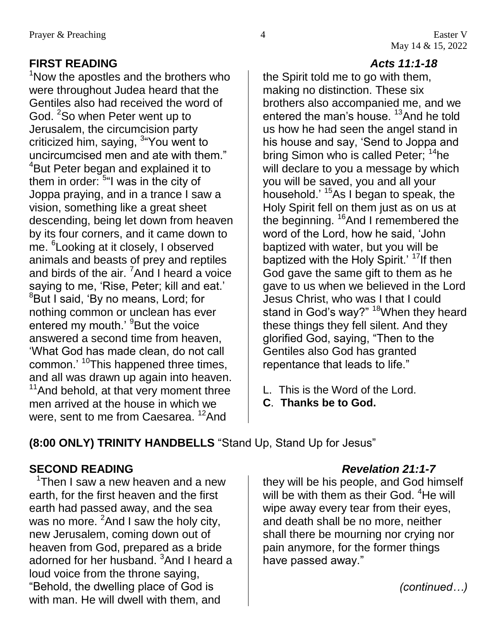### **FIRST READING** *Acts 11:1-18*

 $1$ Now the apostles and the brothers who were throughout Judea heard that the Gentiles also had received the word of God. <sup>2</sup>So when Peter went up to Jerusalem, the circumcision party criticized him, saying, <sup>3</sup>"You went to uncircumcised men and ate with them." <sup>4</sup>But Peter began and explained it to them in order:  $5^{\omega}$ I was in the city of Joppa praying, and in a trance I saw a vision, something like a great sheet descending, being let down from heaven by its four corners, and it came down to me. <sup>6</sup> Looking at it closely, I observed animals and beasts of prey and reptiles and birds of the air.  $7$ And I heard a voice saying to me, 'Rise, Peter; kill and eat.' <sup>8</sup>But I said, 'By no means, Lord; for nothing common or unclean has ever entered my mouth.' <sup>9</sup>But the voice answered a second time from heaven, 'What God has made clean, do not call common.<sup>' 10</sup>This happened three times, and all was drawn up again into heaven. <sup>11</sup> And behold, at that very moment three men arrived at the house in which we were, sent to me from Caesarea. <sup>12</sup>And

the Spirit told me to go with them, making no distinction. These six brothers also accompanied me, and we entered the man's house. <sup>13</sup>And he told us how he had seen the angel stand in his house and say, 'Send to Joppa and bring Simon who is called Peter; <sup>14</sup>he will declare to you a message by which you will be saved, you and all your household.' <sup>15</sup>As I began to speak, the Holy Spirit fell on them just as on us at the beginning. <sup>16</sup>And I remembered the word of the Lord, how he said, 'John baptized with water, but you will be baptized with the Holy Spirit.' <sup>17</sup>If then God gave the same gift to them as he gave to us when we believed in the Lord Jesus Christ, who was I that I could stand in God's way?" <sup>18</sup>When they heard these things they fell silent. And they glorified God, saying, "Then to the Gentiles also God has granted repentance that leads to life."

- L. This is the Word of the Lord.
- **C**. **Thanks be to God.**

**(8:00 ONLY) TRINITY HANDBELLS** "Stand Up, Stand Up for Jesus"

### **SECOND READING** *Revelation 21:1-7*

<sup>1</sup>Then I saw a new heaven and a new earth, for the first heaven and the first earth had passed away, and the sea was no more.  ${}^{2}$ And I saw the holy city, new Jerusalem, coming down out of heaven from God, prepared as a bride adorned for her husband. <sup>3</sup>And I heard a loud voice from the throne saying, "Behold, the dwelling place of God is with man. He will dwell with them, and

they will be his people, and God himself will be with them as their God. <sup>4</sup>He will wipe away every tear from their eyes, and death shall be no more, neither shall there be mourning nor crying nor pain anymore, for the former things have passed away."

*(continued…)*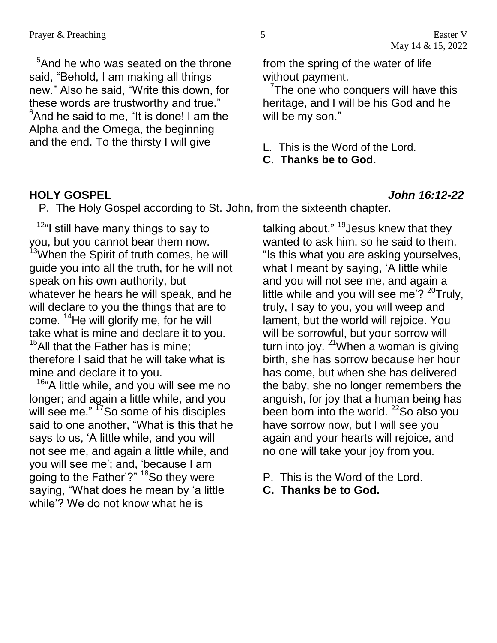<sup>5</sup>And he who was seated on the throne said, "Behold, I am making all things new." Also he said, "Write this down, for these words are trustworthy and true."  $6$ And he said to me, "It is done! I am the Alpha and the Omega, the beginning and the end. To the thirsty I will give

<sup>7</sup>The one who conquers will have this heritage, and I will be his God and he will be my son."

- L. This is the Word of the Lord.
- **C**. **Thanks be to God.**

#### **HOLY GOSPEL** *John 16:12-22*

P. The Holy Gospel according to St. John, from the sixteenth chapter.

<sup>12"</sup>I still have many things to say to you, but you cannot bear them now. <sup>13</sup>When the Spirit of truth comes, he will guide you into all the truth, for he will not speak on his own authority, but whatever he hears he will speak, and he will declare to you the things that are to come. <sup>14</sup>He will glorify me, for he will take what is mine and declare it to you.  $15$ All that the Father has is mine; therefore I said that he will take what is mine and declare it to you.

<sup>16</sup>"A little while, and you will see me no longer; and again a little while, and you will see me." <sup>17</sup>So some of his disciples said to one another, "What is this that he says to us, 'A little while, and you will not see me, and again a little while, and you will see me'; and, 'because I am going to the Father'?" <sup>18</sup>So they were saying, "What does he mean by 'a little while'? We do not know what he is

talking about." <sup>19</sup>Jesus knew that they wanted to ask him, so he said to them, "Is this what you are asking yourselves, what I meant by saying, 'A little while and you will not see me, and again a little while and you will see me'?  $20$ Truly, truly, I say to you, you will weep and lament, but the world will rejoice. You will be sorrowful, but your sorrow will turn into joy.  $21$ When a woman is giving birth, she has sorrow because her hour has come, but when she has delivered the baby, she no longer remembers the anguish, for joy that a human being has been born into the world. <sup>22</sup>So also you have sorrow now, but I will see you again and your hearts will rejoice, and no one will take your joy from you.

- P. This is the Word of the Lord.
- **C. Thanks be to God.**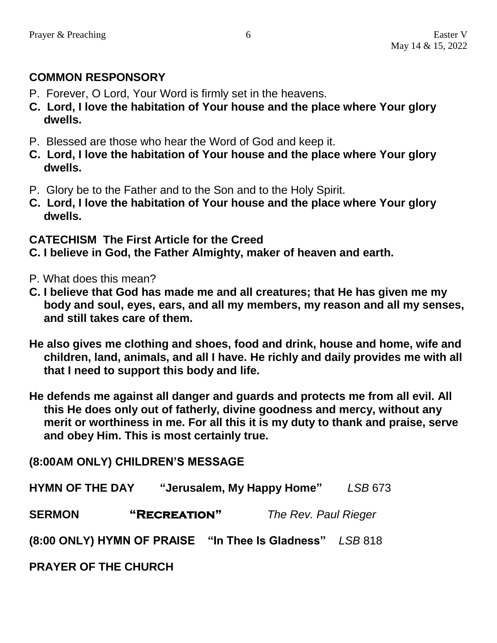#### **COMMON RESPONSORY**

- P. Forever, O Lord, Your Word is firmly set in the heavens.
- **C. Lord, I love the habitation of Your house and the place where Your glory dwells.**
- P. Blessed are those who hear the Word of God and keep it.
- **C. Lord, I love the habitation of Your house and the place where Your glory dwells.**
- P. Glory be to the Father and to the Son and to the Holy Spirit.
- **C. Lord, I love the habitation of Your house and the place where Your glory dwells.**

#### **CATECHISM The First Article for the Creed**

- **C. I believe in God, the Father Almighty, maker of heaven and earth.**
- P. What does this mean?
- **C. I believe that God has made me and all creatures; that He has given me my body and soul, eyes, ears, and all my members, my reason and all my senses, and still takes care of them.**
- **He also gives me clothing and shoes, food and drink, house and home, wife and children, land, animals, and all I have. He richly and daily provides me with all that I need to support this body and life.**
- **He defends me against all danger and guards and protects me from all evil. All this He does only out of fatherly, divine goodness and mercy, without any merit or worthiness in me. For all this it is my duty to thank and praise, serve and obey Him. This is most certainly true.**

# **(8:00AM ONLY) CHILDREN'S MESSAGE HYMN OF THE DAY "Jerusalem, My Happy Home"** *LSB* 673 **SERMON "Recreation"** *The Rev. Paul Rieger* **(8:00 ONLY) HYMN OF PRAISE "In Thee Is Gladness"** *LSB* 818

**PRAYER OF THE CHURCH**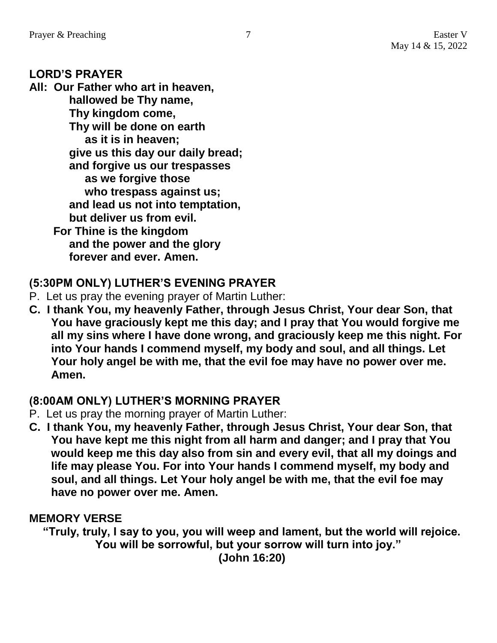#### **LORD'S PRAYER**

**All: Our Father who art in heaven, hallowed be Thy name, Thy kingdom come, Thy will be done on earth as it is in heaven; give us this day our daily bread; and forgive us our trespasses as we forgive those who trespass against us; and lead us not into temptation, but deliver us from evil. For Thine is the kingdom and the power and the glory forever and ever. Amen.**

#### **(5:30PM ONLY) LUTHER'S EVENING PRAYER**

- P. Let us pray the evening prayer of Martin Luther:
- **C. I thank You, my heavenly Father, through Jesus Christ, Your dear Son, that You have graciously kept me this day; and I pray that You would forgive me all my sins where I have done wrong, and graciously keep me this night. For into Your hands I commend myself, my body and soul, and all things. Let Your holy angel be with me, that the evil foe may have no power over me. Amen.**

#### **(8:00AM ONLY) LUTHER'S MORNING PRAYER**

- P. Let us pray the morning prayer of Martin Luther:
- **C. I thank You, my heavenly Father, through Jesus Christ, Your dear Son, that You have kept me this night from all harm and danger; and I pray that You would keep me this day also from sin and every evil, that all my doings and life may please You. For into Your hands I commend myself, my body and soul, and all things. Let Your holy angel be with me, that the evil foe may have no power over me. Amen.**

#### **MEMORY VERSE**

**"Truly, truly, I say to you, you will weep and lament, but the world will rejoice. You will be sorrowful, but your sorrow will turn into joy." (John 16:20)**